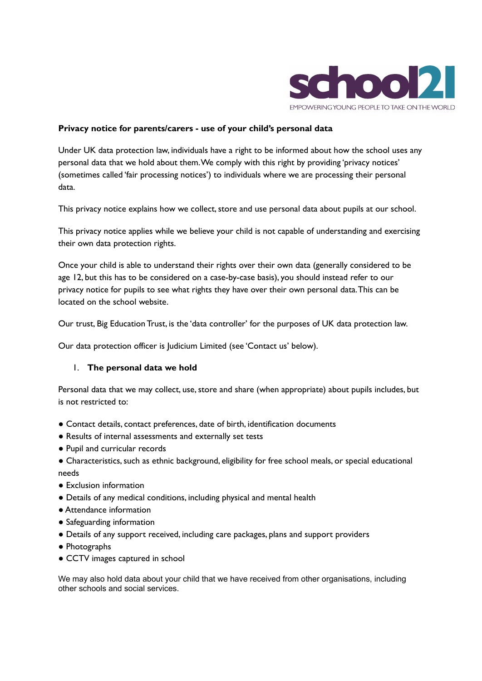

#### **Privacy notice for parents/carers - use of your child's personal data**

Under UK data protection law, individuals have a right to be informed about how the school uses any personal data that we hold about them.We comply with this right by providing 'privacy notices' (sometimes called 'fair processing notices') to individuals where we are processing their personal data.

This privacy notice explains how we collect, store and use personal data about pupils at our school.

This privacy notice applies while we believe your child is not capable of understanding and exercising their own data protection rights.

Once your child is able to understand their rights over their own data (generally considered to be age 12, but this has to be considered on a case-by-case basis), you should instead refer to our privacy notice for pupils to see what rights they have over their own personal data.This can be located on the school website.

Our trust, Big Education Trust, is the 'data controller' for the purposes of UK data protection law.

Our data protection officer is Judicium Limited (see 'Contact us' below).

#### 1. **The personal data we hold**

Personal data that we may collect, use, store and share (when appropriate) about pupils includes, but is not restricted to:

- Contact details, contact preferences, date of birth, identification documents
- Results of internal assessments and externally set tests
- Pupil and curricular records
- Characteristics, such as ethnic background, eligibility for free school meals, or special educational needs
- Exclusion information
- Details of any medical conditions, including physical and mental health
- Attendance information
- Safeguarding information
- Details of any support received, including care packages, plans and support providers
- Photographs
- CCTV images captured in school

We may also hold data about your child that we have received from other organisations, including other schools and social services.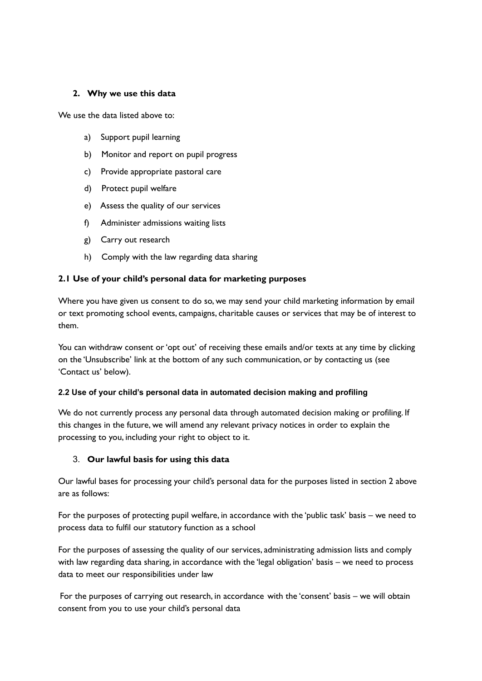### **2. Why we use this data**

We use the data listed above to:

- a) Support pupil learning
- b) Monitor and report on pupil progress
- c) Provide appropriate pastoral care
- d) Protect pupil welfare
- e) Assess the quality of our services
- f) Administer admissions waiting lists
- g) Carry out research
- h) Comply with the law regarding data sharing

#### **2.1 Use of your child's personal data for marketing purposes**

Where you have given us consent to do so, we may send your child marketing information by email or text promoting school events, campaigns, charitable causes or services that may be of interest to them.

You can withdraw consent or 'opt out' of receiving these emails and/or texts at any time by clicking on the 'Unsubscribe' link at the bottom of any such communication, or by contacting us (see 'Contact us' below).

#### **2.2 Use of your child's personal data in automated decision making and profiling**

We do not currently process any personal data through automated decision making or profiling. If this changes in the future, we will amend any relevant privacy notices in order to explain the processing to you, including your right to object to it.

### 3. **Our lawful basis for using this data**

Our lawful bases for processing your child's personal data for the purposes listed in section 2 above are as follows:

For the purposes of protecting pupil welfare, in accordance with the 'public task' basis – we need to process data to fulfil our statutory function as a school

For the purposes of assessing the quality of our services, administrating admission lists and comply with law regarding data sharing, in accordance with the 'legal obligation' basis – we need to process data to meet our responsibilities under law

For the purposes of carrying out research, in accordance with the 'consent' basis – we will obtain consent from you to use your child's personal data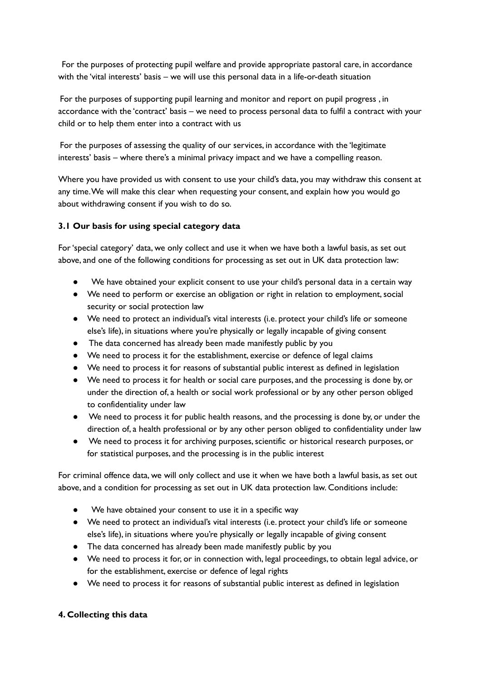For the purposes of protecting pupil welfare and provide appropriate pastoral care, in accordance with the 'vital interests' basis – we will use this personal data in a life-or-death situation

For the purposes of supporting pupil learning and monitor and report on pupil progress , in accordance with the 'contract' basis – we need to process personal data to fulfil a contract with your child or to help them enter into a contract with us

For the purposes of assessing the quality of our services, in accordance with the 'legitimate interests' basis – where there's a minimal privacy impact and we have a compelling reason.

Where you have provided us with consent to use your child's data, you may withdraw this consent at any time.We will make this clear when requesting your consent, and explain how you would go about withdrawing consent if you wish to do so.

# **3.1 Our basis for using special category data**

For'special category' data, we only collect and use it when we have both a lawful basis, as set out above, and one of the following conditions for processing as set out in UK data protection law:

- We have obtained your explicit consent to use your child's personal data in a certain way
- We need to perform or exercise an obligation or right in relation to employment, social security or social protection law
- We need to protect an individual's vital interests (i.e. protect your child's life or someone else's life), in situations where you're physically or legally incapable of giving consent
- The data concerned has already been made manifestly public by you
- We need to process it for the establishment, exercise or defence of legal claims
- We need to process it for reasons of substantial public interest as defined in legislation
- We need to process it for health or social care purposes, and the processing is done by, or under the direction of, a health or social work professional or by any other person obliged to confidentiality under law
- We need to process it for public health reasons, and the processing is done by, or under the direction of, a health professional or by any other person obliged to confidentiality under law
- We need to process it for archiving purposes,scientific or historical research purposes, or for statistical purposes, and the processing is in the public interest

For criminal offence data, we will only collect and use it when we have both a lawful basis, as set out above, and a condition for processing as set out in UK data protection law. Conditions include:

- We have obtained your consent to use it in a specific way
- We need to protect an individual's vital interests (i.e. protect your child's life or someone else's life), in situations where you're physically or legally incapable of giving consent
- The data concerned has already been made manifestly public by you
- We need to process it for, or in connection with, legal proceedings, to obtain legal advice, or for the establishment, exercise or defence of legal rights
- We need to process it for reasons of substantial public interest as defined in legislation

# **4. Collecting this data**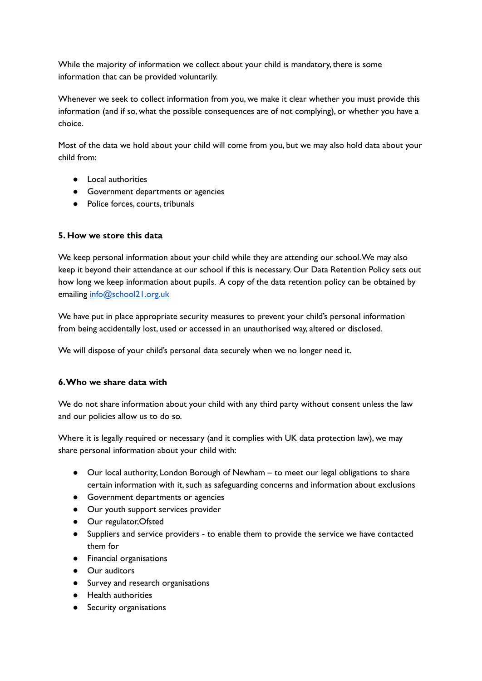While the majority of information we collect about your child is mandatory, there is some information that can be provided voluntarily.

Whenever we seek to collect information from you, we make it clear whether you must provide this information (and if so, what the possible consequences are of not complying), or whether you have a choice.

Most of the data we hold about your child will come from you, but we may also hold data about your child from:

- Local authorities
- Government departments or agencies
- Police forces, courts, tribunals

# **5. How we store this data**

We keep personal information about your child while they are attending our school.We may also keep it beyond their attendance at our school if this is necessary. Our Data Retention Policy sets out how long we keep information about pupils. A copy of the data retention policy can be obtained by emailing [info@school21.org.uk](mailto:info@school21.org.uk)

We have put in place appropriate security measures to prevent your child's personal information from being accidentally lost, used or accessed in an unauthorised way, altered or disclosed.

We will dispose of your child's personal data securely when we no longer need it.

### **6.Who we share data with**

We do not share information about your child with any third party without consent unless the law and our policies allow us to do so.

Where it is legally required or necessary (and it complies with UK data protection law), we may share personal information about your child with:

- Our local authority, London Borough of Newham to meet our legal obligations to share certain information with it, such as safeguarding concerns and information about exclusions
- Government departments or agencies
- Our youth support services provider
- Our regulator,Ofsted
- Suppliers and service providers to enable them to provide the service we have contacted them for
- Financial organisations
- Our auditors
- Survey and research organisations
- Health authorities
- Security organisations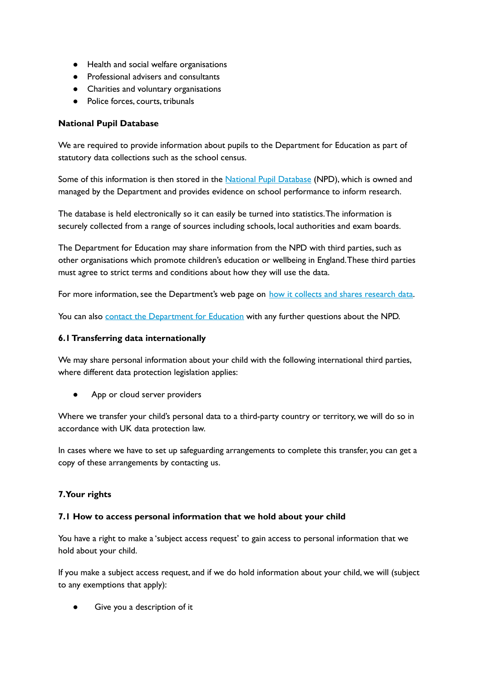- Health and social welfare organisations
- Professional advisers and consultants
- Charities and voluntary organisations
- Police forces, courts, tribunals

## **National Pupil Database**

We are required to provide information about pupils to the Department for Education as part of statutory data collections such as the school census.

Some of this information is then stored in the National Pupil [Database](https://www.gov.uk/government/collections/national-pupil-database) (NPD), which is owned and managed by the Department and provides evidence on school performance to inform research.

The database is held electronically so it can easily be turned into statistics.The information is securely collected from a range of sources including schools, local authorities and exam boards.

The Department for Education may share information from the NPD with third parties, such as other organisations which promote children's education or wellbeing in England.These third parties must agree to strict terms and conditions about how they will use the data.

For more information, see the Department's web page on how it collects and shares [research](https://www.gov.uk/data-protection-how-we-collect-and-share-research-data) data.

You can also contact the [Department](https://www.gov.uk/contact-dfe) for Education with any further questions about the NPD.

## **6.1Transferring data internationally**

We may share personal information about your child with the following international third parties, where different data protection legislation applies:

App or cloud server providers

Where we transfer your child's personal data to a third-party country or territory, we will do so in accordance with UK data protection law.

In cases where we have to set up safeguarding arrangements to complete this transfer, you can get a copy of these arrangements by contacting us.

### **7.Your rights**

### **7.1 How to access personal information that we hold about your child**

You have a right to make a 'subject access request' to gain access to personal information that we hold about your child.

If you make a subject access request, and if we do hold information about your child, we will (subject to any exemptions that apply):

Give you a description of it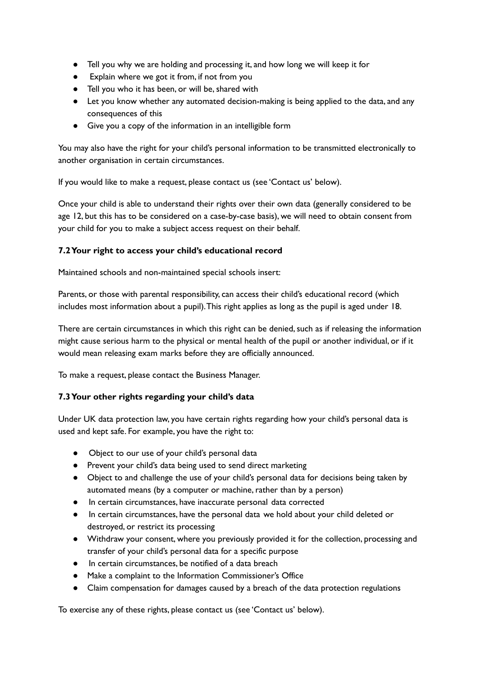- Tell you why we are holding and processing it, and how long we will keep it for
- Explain where we got it from, if not from you
- Tell you who it has been, or will be,shared with
- Let you know whether any automated decision-making is being applied to the data, and any consequences of this
- Give you a copy of the information in an intelligible form

You may also have the right for your child's personal information to be transmitted electronically to another organisation in certain circumstances.

If you would like to make a request, please contact us (see 'Contact us' below).

Once your child is able to understand their rights over their own data (generally considered to be age 12, but this has to be considered on a case-by-case basis), we will need to obtain consent from your child for you to make a subject access request on their behalf.

# **7.2Your right to access your child's educational record**

Maintained schools and non-maintained special schools insert:

Parents, or those with parental responsibility, can access their child's educational record (which includes most information about a pupil).This right applies as long as the pupil is aged under 18.

There are certain circumstances in which this right can be denied, such as if releasing the information might cause serious harm to the physical or mental health of the pupil or another individual, or if it would mean releasing exam marks before they are officially announced.

To make a request, please contact the Business Manager.

### **7.3Your other rights regarding your child's data**

Under UK data protection law, you have certain rights regarding how your child's personal data is used and kept safe. For example, you have the right to:

- Object to our use of your child's personal data
- Prevent your child's data being used to send direct marketing
- Object to and challenge the use of your child's personal data for decisions being taken by automated means (by a computer or machine, rather than by a person)
- In certain circumstances, have inaccurate personal data corrected
- In certain circumstances, have the personal data we hold about your child deleted or destroyed, or restrict its processing
- Withdraw your consent, where you previously provided it for the collection, processing and transfer of your child's personal data for a specific purpose
- In certain circumstances, be notified of a data breach
- Make a complaint to the Information Commissioner's Office
- Claim compensation for damages caused by a breach of the data protection regulations

To exercise any of these rights, please contact us (see 'Contact us' below).